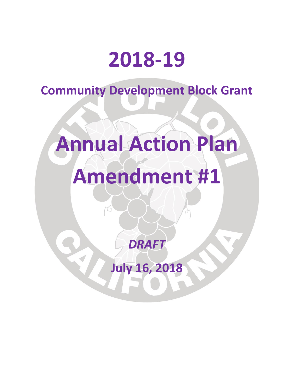# **2018-19**

**Community Development Block Grant**

# **Annual Action Plan Amendment #1**

*DRAFT*

**July 16, 2018**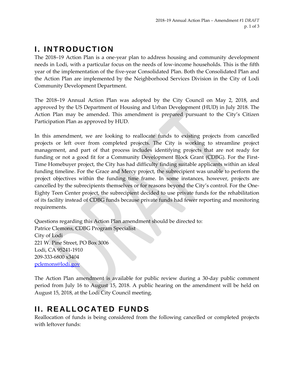# **I. INTRODUCTION**

The 2018–19 Action Plan is a one-year plan to address housing and community development needs in Lodi, with a particular focus on the needs of low-income households. This is the fifth year of the implementation of the five-year Consolidated Plan. Both the Consolidated Plan and the Action Plan are implemented by the Neighborhood Services Division in the City of Lodi Community Development Department.

The 2018–19 Annual Action Plan was adopted by the City Council on May 2, 2018, and approved by the US Department of Housing and Urban Development (HUD) in July 2018. The Action Plan may be amended. This amendment is prepared pursuant to the City's Citizen Participation Plan as approved by HUD.

In this amendment, we are looking to reallocate funds to existing projects from cancelled projects or left over from completed projects. The City is working to streamline project management, and part of that process includes identifying projects that are not ready for funding or not a good fit for a Community Development Block Grant (CDBG). For the First-Time Homebuyer project, the City has had difficulty finding suitable applicants within an ideal funding timeline. For the Grace and Mercy project, the subrecipient was unable to perform the project objectives within the funding time frame. In some instances, however, projects are cancelled by the subrecipients themselves or for reasons beyond the City's control. For the One-Eighty Teen Center project, the subrecipient decided to use private funds for the rehabilitation of its facility instead of CDBG funds because private funds had fewer reporting and monitoring requirements.

Questions regarding this Action Plan amendment should be directed to: Patrice Clemons, CDBG Program Specialist City of Lodi 221 W. Pine Street, PO Box 3006 Lodi, CA 95241-1910 209-333-6800 x3404 [pclemons@lodi.gov](mailto:pclemons@lodi.gov)

The Action Plan amendment is available for public review during a 30-day public comment period from July 16 to August 15, 2018. A public hearing on the amendment will be held on August 15, 2018, at the Lodi City Council meeting.

## **II. REALLOCATED FUNDS**

Reallocation of funds is being considered from the following cancelled or completed projects with leftover funds: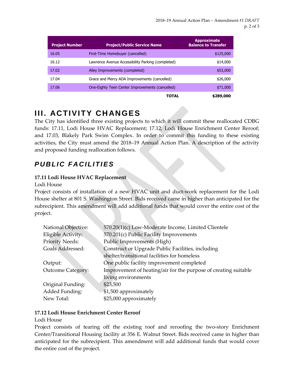| <b>Project Number</b> | <b>Project/Public Service Name</b>                | <b>Approximate</b><br><b>Balance to Transfer</b> |
|-----------------------|---------------------------------------------------|--------------------------------------------------|
| 16.05                 | First-Time Homebuyer (cancelled)                  | \$125,000                                        |
| 16.12                 | Lawrence Avenue Accessibility Parking (completed) | \$14,000                                         |
| 17.02                 | Alley Improvements (completed)                    | \$53,000                                         |
| 17.04                 | Grace and Mercy ADA Improvements (cancelled)      | \$26,000                                         |
| 17.06                 | One-Eighty Teen Center Improvements (cancelled)   | \$71,000                                         |
|                       | TOTAL                                             | \$289,000                                        |

# **III. ACTIVITY CH ANGES**

The City has identified three existing projects to which it will commit these reallocated CDBG funds: 17.11, Lodi House HVAC Replacement; 17.12, Lodi House Enrichment Center Reroof; and 17.03, Blakely Park Swim Complex. In order to commit this funding to these existing activities, the City must amend the 2018–19 Annual Action Plan. A description of the activity and proposed funding reallocation follows.

### **PUBLIC FACILITIES**

#### **17.11 Lodi House HVAC Replacement**

Lodi House

Project consists of installation of a new HVAC unit and duct-work replacement for the Lodi House shelter at 801 S. Washington Street. Bids received came in higher than anticipated for the subrecipient. This amendment will add additional funds that would cover the entire cost of the project.

| National Objective:      | 570.20(1)(c) Low-Moderate Income, Limited Clientele             |
|--------------------------|-----------------------------------------------------------------|
| Eligible Activity:       | 570.201(c) Public Facility Improvements                         |
| <b>Priority Needs:</b>   | Public Improvements (High)                                      |
| Goals Addressed:         | Construct or Upgrade Public Facilities, including               |
|                          | shelter/transitional facilities for homeless                    |
| Output:                  | One public facility improvement completed                       |
| <b>Outcome Category:</b> | Improvement of heating/air for the purpose of creating suitable |
|                          | living environments                                             |
| Original Funding:        | \$23,500                                                        |
| Added Funding:           | \$1,500 approximately                                           |
| New Total:               | \$25,000 approximately                                          |

#### **17.12 Lodi House Enrichment Center Reroof**

#### Lodi House

Project consists of tearing off the existing roof and reroofing the two-story Enrichment Center/Transitional Housing facility at 356 E. Walnut Street. Bids received came in higher than anticipated for the subrecipient. This amendment will add additional funds that would cover the entire cost of the project.